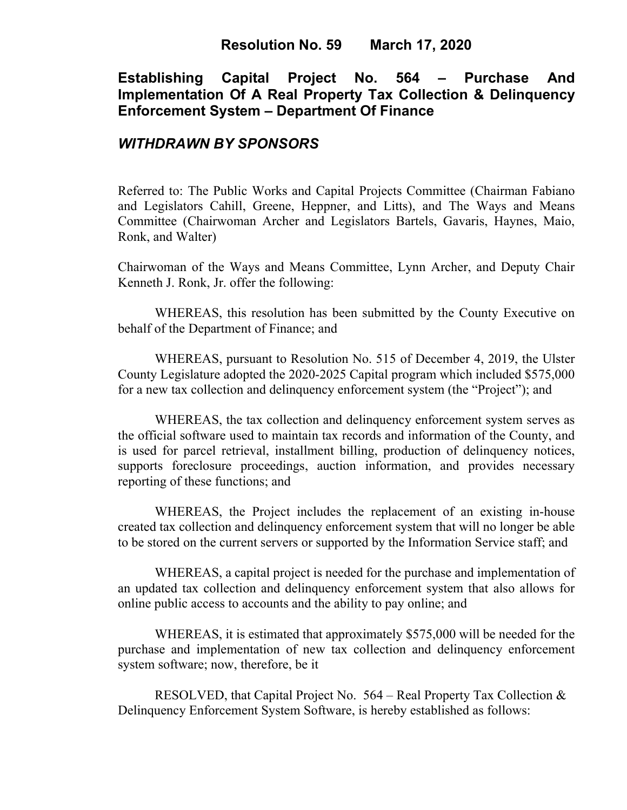## **Resolution No. 59 March 17, 2020**

# **Establishing Capital Project No. 564 – Purchase And Implementation Of A Real Property Tax Collection & Delinquency Enforcement System – Department Of Finance**

### *WITHDRAWN BY SPONSORS*

Referred to: The Public Works and Capital Projects Committee (Chairman Fabiano and Legislators Cahill, Greene, Heppner, and Litts), and The Ways and Means Committee (Chairwoman Archer and Legislators Bartels, Gavaris, Haynes, Maio, Ronk, and Walter)

Chairwoman of the Ways and Means Committee, Lynn Archer, and Deputy Chair Kenneth J. Ronk, Jr. offer the following:

WHEREAS, this resolution has been submitted by the County Executive on behalf of the Department of Finance; and

WHEREAS, pursuant to Resolution No. 515 of December 4, 2019, the Ulster County Legislature adopted the 2020-2025 Capital program which included \$575,000 for a new tax collection and delinquency enforcement system (the "Project"); and

WHEREAS, the tax collection and delinquency enforcement system serves as the official software used to maintain tax records and information of the County, and is used for parcel retrieval, installment billing, production of delinquency notices, supports foreclosure proceedings, auction information, and provides necessary reporting of these functions; and

WHEREAS, the Project includes the replacement of an existing in-house created tax collection and delinquency enforcement system that will no longer be able to be stored on the current servers or supported by the Information Service staff; and

WHEREAS, a capital project is needed for the purchase and implementation of an updated tax collection and delinquency enforcement system that also allows for online public access to accounts and the ability to pay online; and

WHEREAS, it is estimated that approximately \$575,000 will be needed for the purchase and implementation of new tax collection and delinquency enforcement system software; now, therefore, be it

RESOLVED, that Capital Project No. 564 – Real Property Tax Collection & Delinquency Enforcement System Software, is hereby established as follows: